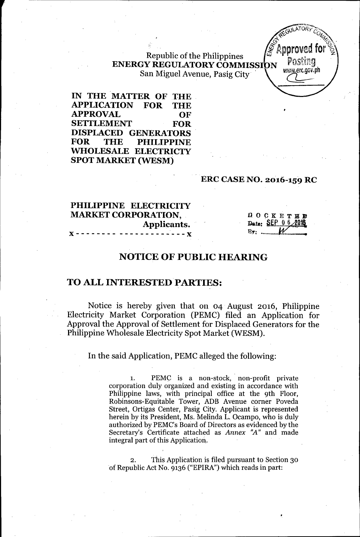Republic of the Philippines ENERGY REGULATORY COMMISSION FUSERLY San Miguel Avenue, Pasig City

IN THE MATTER OF THE APPLICATION FOR THE APPROVAL OF SETTLEMENT FOR DISPLACED GENERATORS FOR THE PHILIPPINE WHOLESALE ELECTRICTY SPOT MARKET (WESM)

### ERC CASE NO. 2016-159 RC

# PHILIPPINE ELECTRICITY MARKET CORPORATION, Applicants.<br>.........x **x** - - - - - - - - - - - - - - - - - -

DOCKETED Date: SEP 0 6 2016  $Bv:$  ...

*"""'''''~~;'''''-''Y~*  $\mathscr{L}$ . GULATORY  $c_{G,\lambda}$  $\mathcal{L}$  $\circ$  ,  $\mathscr{C}_{\Omega}$  ,  $\mathscr{C}_{\Omega}$  ,  $\mathscr{C}_{\Omega}$  ,  $\mathscr{C}_{\Omega}$  ,  $\mathscr{C}_{\Omega}$  ,  $\mathscr{C}_{\Omega}$  ,  $\mathscr{C}_{\Omega}$  ,  $\mathscr{C}_{\Omega}$  ,  $\mathscr{C}_{\Omega}$  ,  $\mathscr{C}_{\Omega}$  ,  $\mathscr{C}_{\Omega}$  ,  $\mathscr{C}_{\Omega}$  ,  $\mathscr{C}_{\Omega}$  ,  $\mathscr{C}_{\Omega}$  ,  $\mathscr{C}_{\Omega}$  ,  $\mathscr$  $\widetilde{\mathscr{E}}$  annound for  $\mathscr{\widetilde{E}}$  $\mathscr{\mathscr{Q}}$  Approved for  $\mathscr{\mathscr{Q}}$ 

# NOTICE OF PUBLIC HEARING

### TO ALL INTERESTED PARTIES:

Notice is hereby given that on 04 August 2016, Philippine Electricity Market Corporation (PEMC) filed an Application for Approval the Approval of Settlement for Displaced Generators for the Philippine Wholesale Electricity Spot Market (WESM).

In the said Application, PEMC alleged the following:

1. PEMC is a non-stock,' non-profit private corporation duly organized and existing in accordance with Philippine laws, with principal office at the 9th Floor, Robinsons-Equitable Tower, ADB Avenue corner Poveda Street, Ortigas Center, Pasig City. Applicant is represented herein by its President, Ms. Melinda L. Ocampo, who is duly authorized by PEMC's Board of Directors as evidenced by the Secretary's Certificate attached as *Annex ''A''* and made integral part of this Application.

2. This Application is filed pursuant to Section 30 of Republic Act No. 9136 ("EPIRA") which reads in part: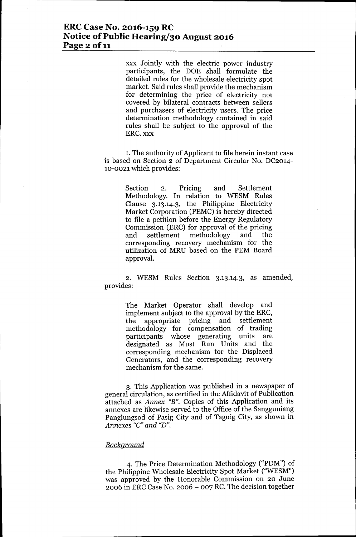### **ERCCase No. 2016-159 RC Notice** of Public **Hearing/30 August 2016 Page** 2 of 11

xxx Jointly with the electric power industry participants, the DOE shall formulate the detailed rules for the wholesale electricity spot market. Said rules shall provide the mechanism for determining the price of electricity not covered by bilateral contracts between sellers and purchasers of electricity users. The price determination methodology contained in said rules shall be subject to the approval of the ERC. xxx

1.The authority of Applicant to file herein instant case is based on Section 2 of Department Circular No. DC2014- 10-0021 which provides:

> Section 2. Pricing and Settlement Methodology. In relation to WESM Rules Clause 3.13.14.3, the Philippine Electricity Market Corporation (PEMC) is hereby directed to file a petition before the Energy Regulatory Commission (ERC) for approval of the pricing and settlement methodology and the corresponding recovery mechanism for the utilization of MRU based on the PEM Board approval.

2. WESM Rules Section 3.13.14.3, as amended, provides:

> The Market Operator shall develop and implement subject to the approval by the ERC, the appropriate pricing and settlement methodology for compensation of trading participants whose generating units are designated as Must Run Units and the corresponding mechanism for the Displaced Generators, and the corresponding recovery mechanism for the same.

3. This Application was published in a newspaper of general circulation, as certified in the Affidavit of Publication attached as *Annex "B".* Copies of this Application and its annexes are likewise served to the Office of the Sangguniang Panglungsod of Pasig City and of Taguig City, as shown in *Annexes "e" and "D".*

### *Background*

4. The Price Determination Methodology ("PDM") of the Philippine Wholesale Electricity Spot Market ("WESM") was approved by the Honorable Commission on 20 June  $2006$  in ERC Case No.  $2006 - 007$  RC. The decision together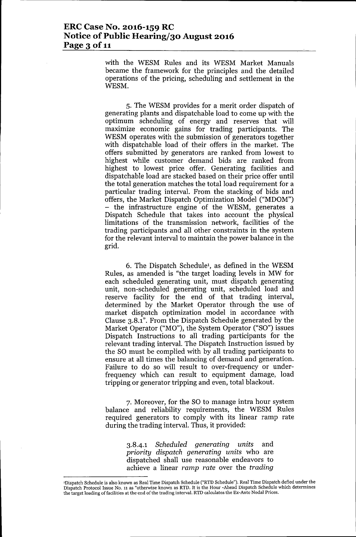### **ERCCase No. 2016-159 RC Notice** of Public **Hearing/30 August 2016 Page** 3 of 11

with the WESM Rules and its WESM Market Manuals became the framework for the principles and the detailed operations of the pricing, scheduling and settlement in the WESM.

5. The WESM provides for a merit order dispatch of generating plants and dispatchable load to come up with the optimum scheduling of energy and reserves that will maximize economic gains for trading participants. The WESM operates with the submission of generators together with dispatchable load of their offers in the market. The offers submitted by generators are ranked from lowest to highest while customer demand bids are ranked from highest to lowest price offer. Generating facilities and dispatchable load are stacked based on their price offer until the total generation matches the total load requirement for a particular trading interval. From the stacking of bids and offers, the Market Dispatch Optimization Model ("MDOM") - the infrastructure engine of the WESM, generates a Dispatch Schedule that takes into account the physical limitations of the transmission network, facilities of the trading participants and all other constraints in the system for the relevant interval to maintain the power balance in the grid.

6. The Dispatch Schedule!, as defined in the WESM Rules, as amended is "the target loading levels in MW for each scheduled generating unit, must dispatch generating unit, non-scheduled generating unit, scheduled load and reserve facility for the end of that trading interval, determined by the Market Operator through the use of market dispatch optimization model in accordance with Clause 3.8.1". From the Dispatch Schedule generated by the Market Operator ("MO"), the System Operator ("SO") issues Dispatch Instructions to all trading participants for the relevant trading interval. The Dispatch Instruction issued by the SO must be complied with by all trading participants to ensure at all times the balancing of demand and generation. Failure to do so will result to over-frequency or underfrequency which can result to equipment damage, load tripping or generator tripping and even, total blackout.

7. Moreover, for the SO to manage intra hour system balance and reliability requirements, the WESM Rules required generators to comply with its linear ramp rate during the trading interval. Thus, it provided:

> *3.8-4.1 Scheduled generating units* and *priority dispatch generating units* who are dispatched shall use reasonable endeavors to achieve a linear *ramp rate* over the *trading*

<sup>&#</sup>x27;Dispatch Schedule is also known as Real Time Dispatch Schedule ("RTD Schedule"). Real Time Dispatch defied under the Dispatch Protocol Issue No. 11 as "otherwise known as RTD. It is the Hour -Ahead Dispatch Schedule which determines the target loading of facilities at the end of the trading interval. RTD calculates the Ex-Ante Nodal Prices.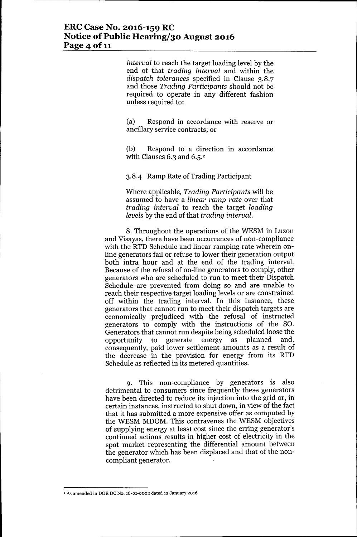*interval* to reach the target loading level by the end of that *trading interval* and within the *dispatch tolerances* specified in Clause 3.8.7 and those *Trading Participants* should not be required to operate in any different fashion unless required to:

(a) Respond in accordance with reserve or ancillary service contracts; or

(b) Respond to a direction in accordance with Clauses 6.3 and 6.5.<sup>2</sup>

3.8-4 Ramp Rate of Trading Participant

Where applicable, *Trading Participants* will be assumed to have a *linear ramp rate* over that *trading interval* to reach the target *loading levels* by the end of that *trading interval.*

8. Throughout the operations of the WESM in Luzon and Visayas, there have been occurrences of non-compliance with the RTD Schedule and linear ramping rate wherein online generators fail or refuse to lower their generation output both intra hour and at the end of the trading interval. Because of the refusal of on-line generators to comply, other generators who are scheduled to run to meet their Dispatch Schedule are prevented from doing so and are unable to reach their respective target loading levels or are constrained off within the trading interval. In this instance, these generators that cannot run to meet their dispatch targets are economically prejudiced with the refusal of instructed generators to comply with the instructions of the SO. Generators that cannot run despite being scheduled loose the opportunity to generate energy as planned and, consequently, paid lower settlement amounts as a result of the decrease in the provision for energy from its RTD Schedule as reflected in its metered quantities.

9. This non-compliance by generators is also detrimental to consumers since frequently these generators have been directed to reduce its injection into the grid or, in certain instances, instructed to shut down, in view of the fact that it has submitted a more expensive offer as computed by the WESM MDOM. This contravenes the WESM objectives of supplying energy at least cost since the erring generator's continued actions results in higher cost of electricity in the spot market representing the differential amount between the generator which has been displaced and that of the noncompliant generator.

*<sup>,</sup> As* amended in DOE DC No. 16-01-0002 dated 12 January 2016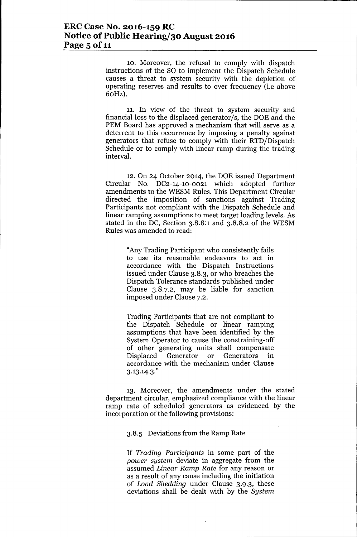10. Moreover, the refusal to comply with dispatch instructions of the SO to implement the Dispatch Schedule causes a threat to system security with the depletion of operating reserves and results to over frequency (i.e above 60Hz).

11. **In** view of the threat to system security and financial loss to the displaced generator/s, the DOE and the PEM Board has approved a mechanism that will serve as a deterrent to this occurrence by imposing a penalty against generators that refuse to comply with their RTD/Dispatch Schedule or to comply with linear ramp during the trading interval.

12. On 24 October 2014, the DOE issued Department Circular No. DC2-14-1O-0021 which adopted further amendments to the WESM Rules. This Department Circular directed the imposition of sanctions against Trading Participants not compliant with the Dispatch Schedule and linear ramping assumptions to meet target loading levels. As stated in the DC, Section 3.8.8:1 and 3.8.8.2 of the WESM Rules was amended to read:

> "Any Trading Participant who consistently fails to use its reasonable endeavors to act in accordance with the Dispatch Instructions issued under Clause 3.8.3, or who breaches the Dispatch Tolerance standards published under Clause 3.8.7.2, may be liable for sanction imposed under Clause 7.2.

> Trading Participants that are not compliant to the Dispatch Schedule or linear ramping assumptions that have been identified by the System Operator to cause the constraining-off of other generating units shall compensate<br>Displaced Generator or Generators in Generators in accordance with the mechanism under Clause 3.13.14.3."

13. Moreover, the amendments under the stated department circular, emphasized compliance with the linear ramp rate of scheduled generators as evidenced by the incorporation of the following provisions:

### 3.8.5 Deviations from the Ramp Rate

If *Trading Participants* in some part of the *power system* deviate in aggregate from the assumed *Linear Ramp Rate* for any reason or as a result of any cause including the initiation of *Load Shedding* under Clause 3.9.3, these deviations shall be dealt with by the *System*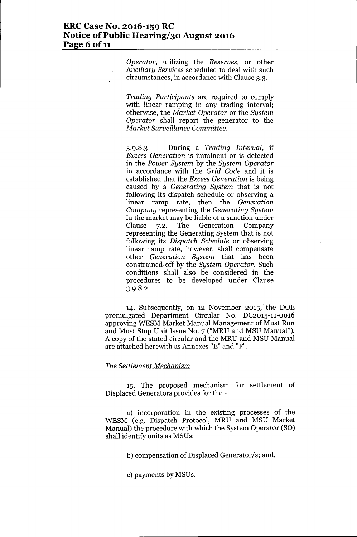*Operator,* utilizing the *Reserves,* or other *Ancillary Services* scheduled to deal with such circumstances, in accordance with Clause 3.3.

*Trading Participants* are required to comply with linear ramping in any trading interval; otherwise, the *Market Operator* or the *System Operator* shall report the generator to the *Market Surveillance Committee.*

3.9.8.3 During a *Trading Interval,* if *Excess Generation* is imminent or is detected in the *Power System* by the *System Operator* in accordance with the *Grid Code* and it is established that the *Excess Generation* is being caused by a *Generating System* that is not following its dispatch schedule or observing a linear ramp rate, then the *Generation Company* representing the *Generating System* in the market may be liable of a sanction under Clause 7.2. The Generation Company representing the Generating System that is not following its *Dispatch Schedule* or observing linear ramp rate, however, shall compensate other *Generation System* that has been constrained-off by the *System Operator.* Such conditions shall also be considered in the procedures to be developed under Clause 3.9.8.2.

14. Subsequently, on 12 November 2015,' the DOE promulgated Department Circular No. DC2015-11-0016 approving WESM Market Manual Management of Must Run and Must Stop Unit Issue No. 7 ("MRU and MSU Manual"). A copy of the stated circular and the MRU and MSU Manual are attached herewith as Annexes "E" and "F".

### *The Settlement Mechanism*

15. The proposed mechanism for settlement of Displaced Generators provides for the -

a) incorporation in the existing processes of the WESM (e.g. Dispatch Protocol, MRU and MSU Market Manual) the procedure with which the System Operator (SO) shall identify units as MSUs;

b) compensation of Displaced Generator/s; and,

c) payments by MSUs.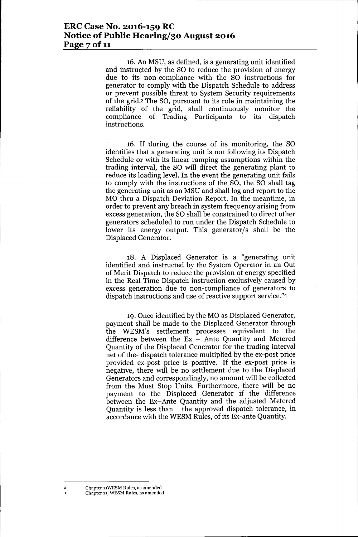16. An MSU, as defined, is a generating unit identified and instructed by the SO to reduce the provision of energy due to its non-compliance with the SO instructions for generator to comply with the Dispatch Schedule to address or prevent possible threat to System Security requirements of the grid.3 The SO, pursuant to its role in maintaining the reliability of the grid, shall continuously monitor the compliance of Trading Participants to its dispatch instructions.

16. If during the course of its monitoring, the SO identifies that a generating unit is not following its Dispatch Schedule or with its linear ramping assumptions within the trading interval, the SO will direct the generating plant to reduce its loading level. In the event the generating unit fails to comply with the instructions of the SO, the SO shall tag the generating unit as an MSU and shall log and report to the MO thru a Dispatch Deviation Report. In the meantime, in order to prevent any breach in system frequency arising from excess generation, the SO shall be constrained to direct other generators scheduled to run under the Dispatch Schedule to lower its energy output. This generator/s shall be the Displaced Generator.

18. A Displaced Generator is a "generating unit identified and instructed by the System Operator in an Out of Merit Dispatch to reduce the provision of energy specified in the Real Time Dispatch instruction exclusively caused by excess generation due to non-compliance of generators to dispatch instructions and use of reactive support service."4

19. Once identified by the MO as Displaced Generator, payment shall be made to the Displaced Generator through the WESM's settlement processes equivalent to the difference between the  $Ex -$  Ante Quantity and Metered Quantity of the Displaced Generator for the trading interval net of the- dispatch tolerance multiplied by the ex-post price provided ex-post price is positive. If the ex-post price is negative, there will be no settlement due to the Displaced Generators and correspondingly, no amount will be collected from the Must Stop Units. Furthermore, there will be no payment to the Displaced Generator if the difference between the Ex-Ante Quantity and the adjusted Metered Quantity is less than the approved dispatch tolerance, in accordance with the WESM Rules, of its Ex-ante Quantity.

Chapter 11WESM Rules, as amended Chapter 11,WESM Rules, as amended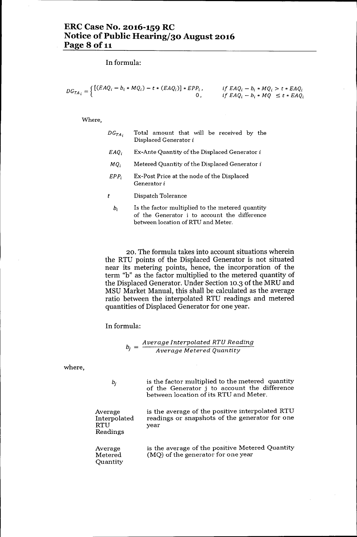**In** formula:

$$
DG_{TA_i} = \begin{cases} [(EAQ_i - b_i * MQ_i) - t * (EAQ_i)] * EPP_i, & \text{if } EAQ_i - b_i * MQ_i > t * EAQ_i \\ 0, & \text{if } EAQ_i - b_i * MQ \le t * EAQ_i \end{cases}
$$

#### Where,

| $DG_{TA}$ , | Total amount that will be received by the<br>Displaced Generator i |
|-------------|--------------------------------------------------------------------|
| <i>EAO.</i> | Ex-Ante Quantity of the Displaced Generator i                      |

- $MQ<sub>i</sub>$  Metered Quantity of the Displaced Generator i
- *EPP<sub>i</sub>* Ex-Post Price at the node of the Displaced Generator i
- *t* Dispatch Tolerance
	- *bi* Is the factor multiplied to the metered quantity of the Generator i to account the difference between location of RTU and Meter.

20. The formula takes into account situations wherein the RTU points of the Displaced Generator is not situated near its metering points, hence, the incorporation of the term "b" as the factor multiplied to the metered quantity of the Displaced Generator. Under Section 10.3 of the MRU and MSU Market Manual, this shall be calculated as the average ratio between the interpolated RTU readings and metered quantities of Displaced Generator for one year.

**In** formula:

$$
b_j = \frac{Average\ Interpolated\ RTU\ Reading}{Average\ Metered\ Quantity}
$$

where,

| $b_i$                                             | is the factor multiplied to the metered quantity<br>of the Generator j to account the difference<br>between location of its RTU and Meter. |
|---------------------------------------------------|--------------------------------------------------------------------------------------------------------------------------------------------|
| Average<br>Interpolated<br><b>RTU</b><br>Readings | is the average of the positive interpolated RTU<br>readings or snapshots of the generator for one<br>vear                                  |
| Average<br>Metered<br>Quantity                    | is the average of the positive Metered Quantity<br>(MQ) of the generator for one year                                                      |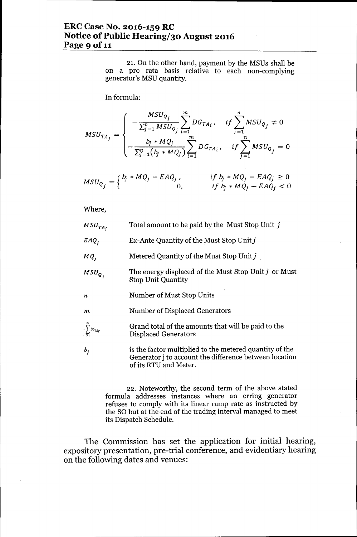# **ERCCase No. 2016-159 RC Notice** of Public **Hearing/30 August 2016 Page 9** of 11

21. On the other hand, payment by the MSUs shall be on a pro rata basis relative to each non-complying generator's MSU quantity.

In formula:

$$
MSU_{TA_j} = \begin{cases} -\frac{MSU_{Q_j}}{\sum_{j=1}^{n} MSU_{Q_j}} \sum_{i=1}^{m} DG_{TA_i}, & if \sum_{j=1}^{n} MSU_{Q_j} \neq 0\\ -\frac{b_j * MQ_j}{\sum_{j=1}^{n} (b_j * MQ_j)} \sum_{i=1}^{m} DG_{TA_i}, & if \sum_{j=1}^{n} MSU_{Q_j} = 0 \end{cases}
$$

$$
MSU_{Q_j} = \begin{cases} b_j * MQ_j - EAQ_j, & \text{if } b_j * MQ_j - EAQ_j \ge 0 \\ 0, & \text{if } b_j * MQ_j - EAQ_j < 0 \end{cases}
$$

Where,

| $\scriptstyle \mathit{MSU}_{\mathit{TA}_i}$ | Total amount to be paid by the Must Stop Unit j                                                                                            |  |
|---------------------------------------------|--------------------------------------------------------------------------------------------------------------------------------------------|--|
| $EAQ_i$                                     | Ex-Ante Quantity of the Must Stop Unit j                                                                                                   |  |
| MQ <sub>i</sub>                             | Metered Quantity of the Must Stop Unit j                                                                                                   |  |
| $MSU_{Q_i}$                                 | The energy displaced of the Must Stop Unit j or Must<br><b>Stop Unit Quantity</b>                                                          |  |
| 72                                          | Number of Must Stop Units                                                                                                                  |  |
| m                                           | Number of Displaced Generators                                                                                                             |  |
| $-\sum_{i=1}^m DG_{TA_{i'}}$                | Grand total of the amounts that will be paid to the<br><b>Displaced Generators</b>                                                         |  |
| $b_i$                                       | is the factor multiplied to the metered quantity of the<br>Generator j to account the difference between location<br>of its RTU and Meter. |  |

22. Noteworthy, the second term of the above stated formula addresses instances where an erring generator refuses to comply with its linear ramp rate as instructed by the SO but at the end of the trading interval managed to meet its Dispatch Schedule.

The Commission has set the application for initial hearing, expository presentation, pre-trial conference, and evidentiary hearing on the following dates and venues: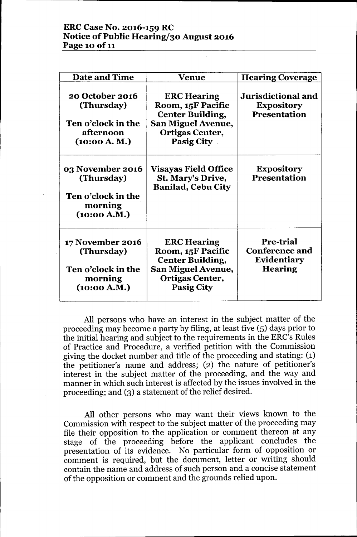# **ERCCase No. 2016-159 RC Notice** of Public **Hearing/30 August 2016 Page 10** of 11

| <b>Date and Time</b>                                                                          | Venue                                                                                                                                   | <b>Hearing Coverage</b>                                             |
|-----------------------------------------------------------------------------------------------|-----------------------------------------------------------------------------------------------------------------------------------------|---------------------------------------------------------------------|
| 20 October 2016<br>(Thursday)<br><b>Ten o'clock in the</b><br>afternoon<br>(10:00 A. M.)      | <b>ERC Hearing</b><br>Room, 15F Pacific<br><b>Center Building,</b><br><b>San Miguel Avenue,</b><br>Ortigas Center,<br><b>Pasig City</b> | Jurisdictional and<br><b>Expository</b><br><b>Presentation</b>      |
| 03 November 2016<br>(Thursday)<br>Ten o'clock in the<br>morning<br>(10:00 A.M.)               | <b>Visayas Field Office</b><br>St. Mary's Drive,<br><b>Banilad, Cebu City</b>                                                           | <b>Expository</b><br><b>Presentation</b>                            |
| <b>17 November 2016</b><br>(Thursday)<br><b>Ten o'clock in the</b><br>morning<br>(10:00 A.M.) | <b>ERC Hearing</b><br>Room, 15F Pacific<br><b>Center Building,</b><br><b>San Miguel Avenue,</b><br>Ortigas Center,<br><b>Pasig City</b> | Pre-trial<br><b>Conference and</b><br>Evidentiary<br><b>Hearing</b> |

All persons who have an interest in the subject matter of the proceeding may become a party by filing, at least five (5) days prior to the initial hearing and subject to the requirements in the ERC's Rules of Practice and Procedure, a verified petition with the Commission giving the docket number and title of the proceeding and stating: (1) the petitioner's name and address; (2) the nature of petitioner's interest in the subject matter of the proceeding, and the way and manner in which such interest is affected by the issues involved in the proceeding; and (3) a statement of the relief desired.

All other persons who may want their views known to the Commission with respect to the subject matter of the proceeding may file their opposition to the application or comment thereon at any stage of the proceeding before the applicant concludes the presentation of its evidence. No particular form of opposition or comment is required, but the document, letter or writing should contain the name and address of such person and a concise statement of the opposition or comment and the grounds relied upon.